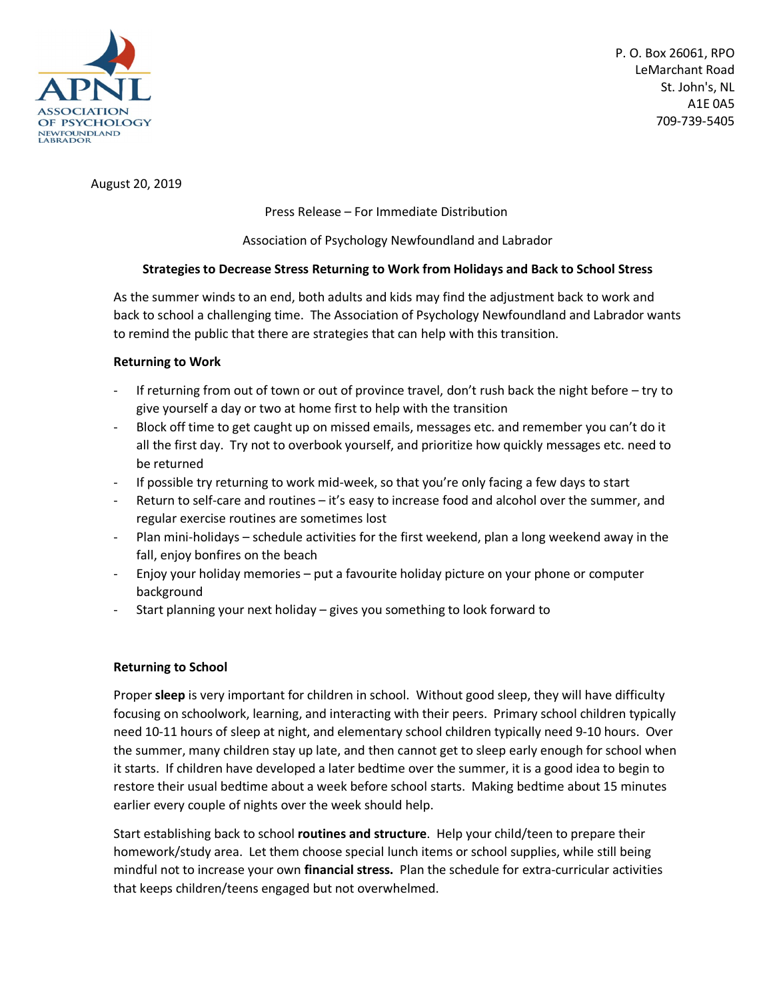

August 20, 2019

Press Release – For Immediate Distribution

Association of Psychology Newfoundland and Labrador

## **Strategies to Decrease Stress Returning to Work from Holidays and Back to School Stress**

As the summer winds to an end, both adults and kids may find the adjustment back to work and back to school a challenging time. The Association of Psychology Newfoundland and Labrador wants to remind the public that there are strategies that can help with this transition.

## **Returning to Work**

- If returning from out of town or out of province travel, don't rush back the night before try to give yourself a day or two at home first to help with the transition
- Block off time to get caught up on missed emails, messages etc. and remember you can't do it all the first day. Try not to overbook yourself, and prioritize how quickly messages etc. need to be returned
- If possible try returning to work mid-week, so that you're only facing a few days to start
- Return to self-care and routines it's easy to increase food and alcohol over the summer, and regular exercise routines are sometimes lost
- Plan mini-holidays schedule activities for the first weekend, plan a long weekend away in the fall, enjoy bonfires on the beach
- Enjoy your holiday memories put a favourite holiday picture on your phone or computer background
- Start planning your next holiday gives you something to look forward to

## **Returning to School**

Proper **sleep** is very important for children in school. Without good sleep, they will have difficulty focusing on schoolwork, learning, and interacting with their peers. Primary school children typically need 10-11 hours of sleep at night, and elementary school children typically need 9-10 hours. Over the summer, many children stay up late, and then cannot get to sleep early enough for school when it starts. If children have developed a later bedtime over the summer, it is a good idea to begin to restore their usual bedtime about a week before school starts. Making bedtime about 15 minutes earlier every couple of nights over the week should help.

Start establishing back to school **routines and structure**. Help your child/teen to prepare their homework/study area. Let them choose special lunch items or school supplies, while still being mindful not to increase your own **financial stress.** Plan the schedule for extra-curricular activities that keeps children/teens engaged but not overwhelmed.